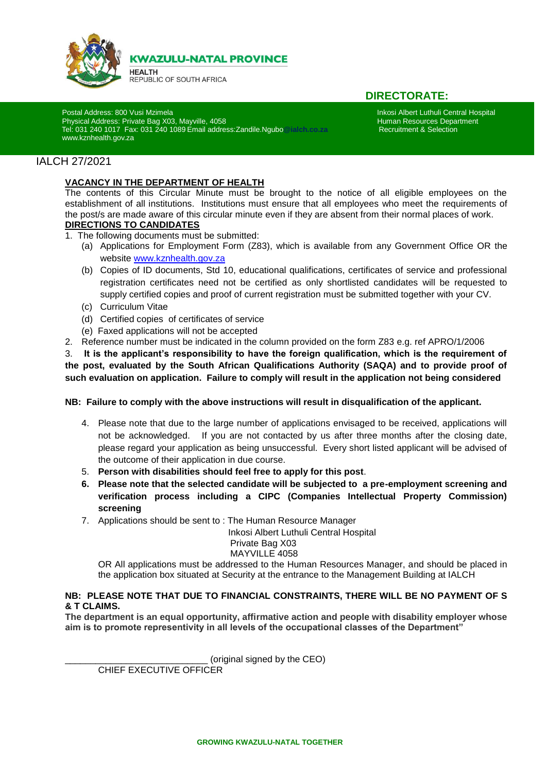

**KWAZULU-NATAL PROVINCE** 

**HEALTH** REPUBLIC OF SOUTH AFRICA

# **DIRECTORATE:**

Postal Address: 800 Vusi Mzimela Inkosi Albert Luthuli Central Hospital<br>Physical Address: Private Bag X03, Mayville, 4058 **International Incorporation Central Hospital** Human Resources Department Physical Address: Private Bag X03, Mayville, 4058<br>1997: Tel: 031 240 1017 Fax: 031 240 1089 Email address: Zandile. Noubo@ialch.co.za .......................... Tel: 031 240 1017 Fax: 031 240 1089 Email address:Zandile.Ngubo**@ialch.co.za** Recruitment & Selection [www.kznhealth.gov.za](http://www.kznhealth.gov.za/)

## IALCH 27/2021

i

### **VACANCY IN THE DEPARTMENT OF HEALTH**

The contents of this Circular Minute must be brought to the notice of all eligible employees on the establishment of all institutions. Institutions must ensure that all employees who meet the requirements of the post/s are made aware of this circular minute even if they are absent from their normal places of work. **DIRECTIONS TO CANDIDATES**

- 1. The following documents must be submitted:
	- (a) Applications for Employment Form (Z83), which is available from any Government Office OR the website [www.kznhealth.gov.za](http://www.kznhealth.gov.za/)
	- (b) Copies of ID documents, Std 10, educational qualifications, certificates of service and professional registration certificates need not be certified as only shortlisted candidates will be requested to supply certified copies and proof of current registration must be submitted together with your CV.
	- (c) Curriculum Vitae
	- (d) Certified copies of certificates of service
	- (e) Faxed applications will not be accepted
- 2. Reference number must be indicated in the column provided on the form Z83 e.g. ref APRO/1/2006

3. **It is the applicant's responsibility to have the foreign qualification, which is the requirement of the post, evaluated by the South African Qualifications Authority (SAQA) and to provide proof of such evaluation on application. Failure to comply will result in the application not being considered**

#### **NB: Failure to comply with the above instructions will result in disqualification of the applicant.**

- 4. Please note that due to the large number of applications envisaged to be received, applications will not be acknowledged. If you are not contacted by us after three months after the closing date, please regard your application as being unsuccessful. Every short listed applicant will be advised of the outcome of their application in due course.
- 5. **Person with disabilities should feel free to apply for this post**.
- **6. Please note that the selected candidate will be subjected to a pre-employment screening and verification process including a CIPC (Companies Intellectual Property Commission) screening**
- 7. Applications should be sent to : The Human Resource Manager

Inkosi Albert Luthuli Central Hospital

#### Private Bag X03 MAYVILLE 4058

OR All applications must be addressed to the Human Resources Manager, and should be placed in the application box situated at Security at the entrance to the Management Building at IALCH

#### **NB: PLEASE NOTE THAT DUE TO FINANCIAL CONSTRAINTS, THERE WILL BE NO PAYMENT OF S & T CLAIMS.**

**The department is an equal opportunity, affirmative action and people with disability employer whose aim is to promote representivity in all levels of the occupational classes of the Department"**

(original signed by the CEO)

CHIEF EXECUTIVE OFFICER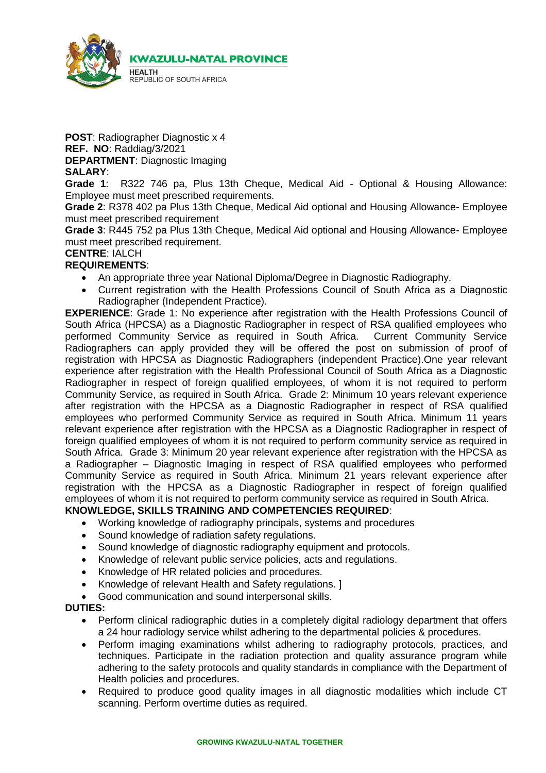

**POST**: Radiographer Diagnostic x 4 **REF. NO**: Raddiag/3/2021 **DEPARTMENT**: Diagnostic Imaging **SALARY**:

**Grade 1**: R322 746 pa, Plus 13th Cheque, Medical Aid - Optional & Housing Allowance: Employee must meet prescribed requirements.

**Grade 2**: R378 402 pa Plus 13th Cheque, Medical Aid optional and Housing Allowance- Employee must meet prescribed requirement

**Grade 3**: R445 752 pa Plus 13th Cheque, Medical Aid optional and Housing Allowance- Employee must meet prescribed requirement.

# **CENTRE**: IALCH

### **REQUIREMENTS**:

- An appropriate three year National Diploma/Degree in Diagnostic Radiography.
- Current registration with the Health Professions Council of South Africa as a Diagnostic Radiographer (Independent Practice).

**EXPERIENCE:** Grade 1: No experience after registration with the Health Professions Council of South Africa (HPCSA) as a Diagnostic Radiographer in respect of RSA qualified employees who performed Community Service as required in South Africa. Current Community Service Radiographers can apply provided they will be offered the post on submission of proof of registration with HPCSA as Diagnostic Radiographers (independent Practice).One year relevant experience after registration with the Health Professional Council of South Africa as a Diagnostic Radiographer in respect of foreign qualified employees, of whom it is not required to perform Community Service, as required in South Africa. Grade 2: Minimum 10 years relevant experience after registration with the HPCSA as a Diagnostic Radiographer in respect of RSA qualified employees who performed Community Service as required in South Africa. Minimum 11 years relevant experience after registration with the HPCSA as a Diagnostic Radiographer in respect of foreign qualified employees of whom it is not required to perform community service as required in South Africa. Grade 3: Minimum 20 year relevant experience after registration with the HPCSA as a Radiographer – Diagnostic Imaging in respect of RSA qualified employees who performed Community Service as required in South Africa. Minimum 21 years relevant experience after registration with the HPCSA as a Diagnostic Radiographer in respect of foreign qualified employees of whom it is not required to perform community service as required in South Africa.

## **KNOWLEDGE, SKILLS TRAINING AND COMPETENCIES REQUIRED**:

- Working knowledge of radiography principals, systems and procedures
- Sound knowledge of radiation safety regulations.
- Sound knowledge of diagnostic radiography equipment and protocols.
- Knowledge of relevant public service policies, acts and regulations.
- Knowledge of HR related policies and procedures.
- Knowledge of relevant Health and Safety regulations. ]
- Good communication and sound interpersonal skills.

### **DUTIES:**

- Perform clinical radiographic duties in a completely digital radiology department that offers a 24 hour radiology service whilst adhering to the departmental policies & procedures.
- Perform imaging examinations whilst adhering to radiography protocols, practices, and techniques. Participate in the radiation protection and quality assurance program while adhering to the safety protocols and quality standards in compliance with the Department of Health policies and procedures.
- Required to produce good quality images in all diagnostic modalities which include CT scanning. Perform overtime duties as required.